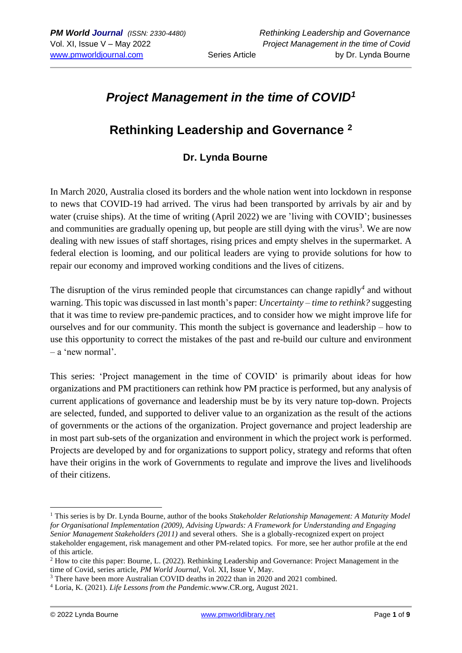# *Project Management in the time of COVID<sup>1</sup>*

# **Rethinking Leadership and Governance <sup>2</sup>**

## **Dr. Lynda Bourne**

In March 2020, Australia closed its borders and the whole nation went into lockdown in response to news that COVID-19 had arrived. The virus had been transported by arrivals by air and by water (cruise ships). At the time of writing (April 2022) we are 'living with COVID'; businesses and communities are gradually opening up, but people are still dying with the virus<sup>3</sup>. We are now dealing with new issues of staff shortages, rising prices and empty shelves in the supermarket. A federal election is looming, and our political leaders are vying to provide solutions for how to repair our economy and improved working conditions and the lives of citizens.

The disruption of the virus reminded people that circumstances can change rapidly*<sup>4</sup>* and without warning. This topic was discussed in last month's paper: *Uncertainty – time to rethink?* suggesting that it was time to review pre-pandemic practices, and to consider how we might improve life for ourselves and for our community. This month the subject is governance and leadership – how to use this opportunity to correct the mistakes of the past and re-build our culture and environment – a 'new normal'.

This series: 'Project management in the time of COVID' is primarily about ideas for how organizations and PM practitioners can rethink how PM practice is performed, but any analysis of current applications of governance and leadership must be by its very nature top-down. Projects are selected, funded, and supported to deliver value to an organization as the result of the actions of governments or the actions of the organization. Project governance and project leadership are in most part sub-sets of the organization and environment in which the project work is performed. Projects are developed by and for organizations to support policy, strategy and reforms that often have their origins in the work of Governments to regulate and improve the lives and livelihoods of their citizens.

<sup>1</sup> This series is by Dr. Lynda Bourne, author of the books *Stakeholder Relationship Management: A Maturity Model for Organisational Implementation (2009), Advising Upwards: A Framework for Understanding and Engaging Senior Management Stakeholders (2011)* and several others. She is a globally-recognized expert on project stakeholder engagement, risk management and other PM-related topics. For more, see her author profile at the end of this article.

<sup>&</sup>lt;sup>2</sup> How to cite this paper: Bourne, L. (2022). Rethinking Leadership and Governance: Project Management in the time of Covid, series article, *PM World Journal,* Vol. XI, Issue V, May.

<sup>3</sup> There have been more Australian COVID deaths in 2022 than in 2020 and 2021 combined.

<sup>4</sup> Loria, K. (2021). *Life Lessons from the Pandemic.*www.CR.org, August 2021.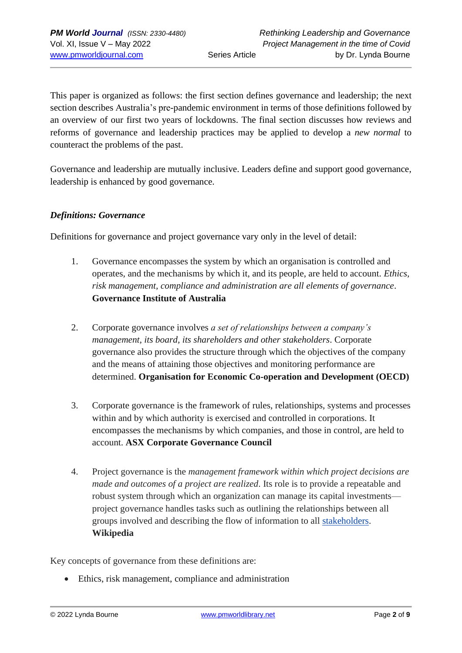This paper is organized as follows: the first section defines governance and leadership; the next section describes Australia's pre-pandemic environment in terms of those definitions followed by an overview of our first two years of lockdowns. The final section discusses how reviews and reforms of governance and leadership practices may be applied to develop a *new normal* to counteract the problems of the past.

Governance and leadership are mutually inclusive. Leaders define and support good governance, leadership is enhanced by good governance.

#### *Definitions: Governance*

Definitions for governance and project governance vary only in the level of detail:

- 1. Governance encompasses the system by which an organisation is controlled and operates, and the mechanisms by which it, and its people, are held to account. *Ethics, risk management, compliance and administration are all elements of governance*. **Governance Institute of Australia**
- 2. Corporate governance involves *a set of relationships between a company's management, its board, its shareholders and other stakeholders*. Corporate governance also provides the structure through which the objectives of the company and the means of attaining those objectives and monitoring performance are determined. **[Organisation for Economic Co-operation and Development \(OECD\)](http://www.oecd.org/corporate/oecdprinciplesofcorporategovernance.htm)**
- 3. Corporate governance is the framework of rules, relationships, systems and processes within and by which authority is exercised and controlled in corporations. It encompasses the mechanisms by which companies, and those in control, are held to account. **[ASX Corporate Governance Council](http://www.asx.com.au/regulation/corporate-governance-council.htm)**
- 4. Project governance is the *management framework within which project decisions are made and outcomes of a project are realized*. Its role is to provide a repeatable and robust system through which an organization can manage its capital investments project governance handles tasks such as outlining the relationships between all groups involved and describing the flow of information to all [stakeholders.](https://en.wikipedia.org/wiki/Stakeholder_(corporate)) **Wikipedia**

Key concepts of governance from these definitions are:

• Ethics, risk management, compliance and administration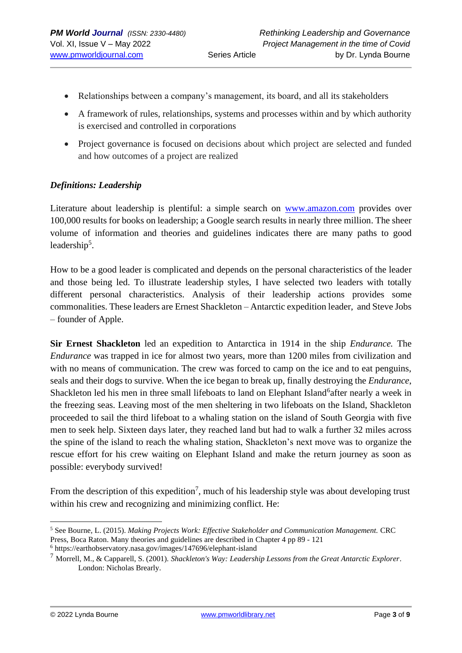- Relationships between a company's management, its board, and all its stakeholders
- A framework of rules, relationships, systems and processes within and by which authority is exercised and controlled in corporations
- Project governance is focused on decisions about which project are selected and funded and how outcomes of a project are realized

#### *Definitions: Leadership*

Literature about leadership is plentiful: a simple search on [www.amazon.com](http://www.amazon.com/) provides over 100,000 results for books on leadership; a Google search results in nearly three million. The sheer volume of information and theories and guidelines indicates there are many paths to good leadership<sup>5</sup>.

How to be a good leader is complicated and depends on the personal characteristics of the leader and those being led. To illustrate leadership styles, I have selected two leaders with totally different personal characteristics. Analysis of their leadership actions provides some commonalities. These leaders are Ernest Shackleton – Antarctic expedition leader, and Steve Jobs – founder of Apple.

**Sir Ernest Shackleton** led an expedition to Antarctica in 1914 in the ship *Endurance.* The *Endurance* was trapped in ice for almost two years, more than 1200 miles from civilization and with no means of communication. The crew was forced to camp on the ice and to eat penguins, seals and their dogs to survive. When the ice began to break up, finally destroying the *Endurance*, Shackleton led his men in three small lifeboats to land on Elephant Island<sup>6</sup>after nearly a week in the freezing seas. Leaving most of the men sheltering in two lifeboats on the Island, Shackleton proceeded to sail the third lifeboat to a whaling station on the island of South Georgia with five men to seek help. Sixteen days later, they reached land but had to walk a further 32 miles across the spine of the island to reach the whaling station, Shackleton's next move was to organize the rescue effort for his crew waiting on Elephant Island and make the return journey as soon as possible: everybody survived!

From the description of this expedition<sup>7</sup>, much of his leadership style was about developing trust within his crew and recognizing and minimizing conflict. He:

<sup>5</sup> See Bourne, L. (2015). *Making Projects Work: Effective Stakeholder and Communication Management.* CRC Press, Boca Raton. Many theories and guidelines are described in Chapter 4 pp 89 - 121

<sup>6</sup> https://earthobservatory.nasa.gov/images/147696/elephant-island

<sup>7</sup> Morrell, M., & Capparell, S. (2001). *Shackleton's Way: Leadership Lessons from the Great Antarctic Explorer*. London: Nicholas Brearly.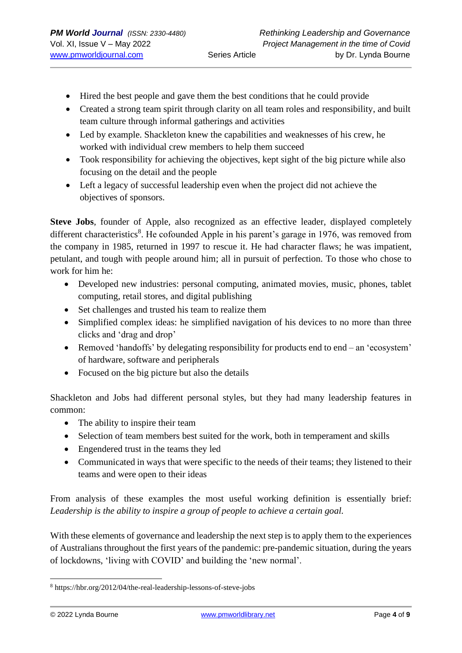- Hired the best people and gave them the best conditions that he could provide
- Created a strong team spirit through clarity on all team roles and responsibility, and built team culture through informal gatherings and activities
- Led by example. Shackleton knew the capabilities and weaknesses of his crew, he worked with individual crew members to help them succeed
- Took responsibility for achieving the objectives, kept sight of the big picture while also focusing on the detail and the people
- Left a legacy of successful leadership even when the project did not achieve the objectives of sponsors.

**Steve Jobs**, founder of Apple, also recognized as an effective leader, displayed completely different characteristics<sup>8</sup>. He cofounded Apple in his parent's garage in 1976, was removed from the company in 1985, returned in 1997 to rescue it. He had character flaws; he was impatient, petulant, and tough with people around him; all in pursuit of perfection. To those who chose to work for him he:

- Developed new industries: personal computing, animated movies, music, phones, tablet computing, retail stores, and digital publishing
- Set challenges and trusted his team to realize them
- Simplified complex ideas: he simplified navigation of his devices to no more than three clicks and 'drag and drop'
- Removed 'handoffs' by delegating responsibility for products end to end an 'ecosystem' of hardware, software and peripherals
- Focused on the big picture but also the details

Shackleton and Jobs had different personal styles, but they had many leadership features in common:

- The ability to inspire their team
- Selection of team members best suited for the work, both in temperament and skills
- Engendered trust in the teams they led
- Communicated in ways that were specific to the needs of their teams; they listened to their teams and were open to their ideas

From analysis of these examples the most useful working definition is essentially brief: *Leadership is the ability to inspire a group of people to achieve a certain goal.*

With these elements of governance and leadership the next step is to apply them to the experiences of Australians throughout the first years of the pandemic: pre-pandemic situation, during the years of lockdowns, 'living with COVID' and building the 'new normal'.

<sup>8</sup> https://hbr.org/2012/04/the-real-leadership-lessons-of-steve-jobs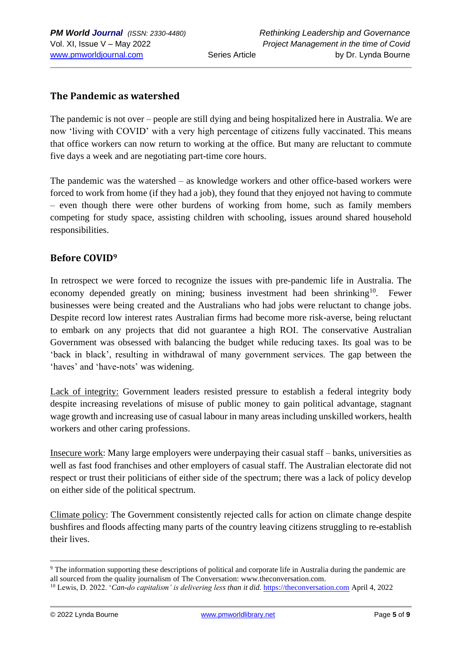### **The Pandemic as watershed**

The pandemic is not over – people are still dying and being hospitalized here in Australia. We are now 'living with COVID' with a very high percentage of citizens fully vaccinated. This means that office workers can now return to working at the office. But many are reluctant to commute five days a week and are negotiating part-time core hours.

The pandemic was the watershed – as knowledge workers and other office-based workers were forced to work from home (if they had a job), they found that they enjoyed not having to commute – even though there were other burdens of working from home, such as family members competing for study space, assisting children with schooling, issues around shared household responsibilities.

#### **Before COVID<sup>9</sup>**

In retrospect we were forced to recognize the issues with pre-pandemic life in Australia. The economy depended greatly on mining; business investment had been shrinking<sup>10</sup>. Fewer businesses were being created and the Australians who had jobs were reluctant to change jobs. Despite record low interest rates Australian firms had become more risk-averse, being reluctant to embark on any projects that did not guarantee a high ROI. The conservative Australian Government was obsessed with balancing the budget while reducing taxes. Its goal was to be 'back in black', resulting in withdrawal of many government services. The gap between the 'haves' and 'have-nots' was widening.

Lack of integrity: Government leaders resisted pressure to establish a federal integrity body despite increasing revelations of misuse of public money to gain political advantage, stagnant wage growth and increasing use of casual labour in many areas including unskilled workers, health workers and other caring professions.

Insecure work: Many large employers were underpaying their casual staff – banks, universities as well as fast food franchises and other employers of casual staff. The Australian electorate did not respect or trust their politicians of either side of the spectrum; there was a lack of policy develop on either side of the political spectrum.

Climate policy: The Government consistently rejected calls for action on climate change despite bushfires and floods affecting many parts of the country leaving citizens struggling to re-establish their lives.

<sup>9</sup> The information supporting these descriptions of political and corporate life in Australia during the pandemic are all sourced from the quality journalism of The Conversation: www.theconversation.com.

<sup>&</sup>lt;sup>10</sup> Lewis, D. 2022. '*Can-do capitalism' is delivering less than it did.* [https://theconversation.com](https://theconversation.com/) April 4, 2022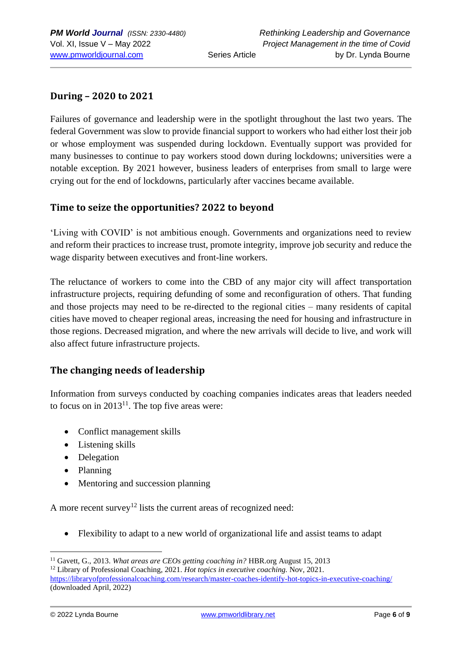## **During – 2020 to 2021**

Failures of governance and leadership were in the spotlight throughout the last two years. The federal Government was slow to provide financial support to workers who had either lost their job or whose employment was suspended during lockdown. Eventually support was provided for many businesses to continue to pay workers stood down during lockdowns; universities were a notable exception. By 2021 however, business leaders of enterprises from small to large were crying out for the end of lockdowns, particularly after vaccines became available.

#### **Time to seize the opportunities? 2022 to beyond**

'Living with COVID' is not ambitious enough. Governments and organizations need to review and reform their practices to increase trust, promote integrity, improve job security and reduce the wage disparity between executives and front-line workers.

The reluctance of workers to come into the CBD of any major city will affect transportation infrastructure projects, requiring defunding of some and reconfiguration of others. That funding and those projects may need to be re-directed to the regional cities – many residents of capital cities have moved to cheaper regional areas, increasing the need for housing and infrastructure in those regions. Decreased migration, and where the new arrivals will decide to live, and work will also affect future infrastructure projects.

## **The changing needs of leadership**

Information from surveys conducted by coaching companies indicates areas that leaders needed to focus on in  $2013^{11}$ . The top five areas were:

- Conflict management skills
- Listening skills
- Delegation
- Planning
- Mentoring and succession planning

A more recent survey<sup>12</sup> lists the current areas of recognized need:

• Flexibility to adapt to a new world of organizational life and assist teams to adapt

<sup>11</sup> Gavett, G., 2013. *What areas are CEOs getting coaching in?* HBR.org August 15, 2013

<sup>12</sup> Library of Professional Coaching, 2021. *Hot topics in executive coaching.* Nov, 2021. <https://libraryofprofessionalcoaching.com/research/master-coaches-identify-hot-topics-in-executive-coaching/> (downloaded April, 2022)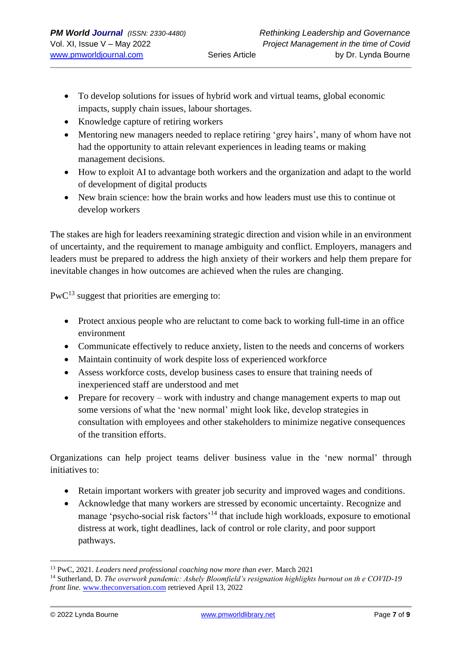- To develop solutions for issues of hybrid work and virtual teams, global economic impacts, supply chain issues, labour shortages.
- Knowledge capture of retiring workers
- Mentoring new managers needed to replace retiring 'grey hairs', many of whom have not had the opportunity to attain relevant experiences in leading teams or making management decisions.
- How to exploit AI to advantage both workers and the organization and adapt to the world of development of digital products
- New brain science: how the brain works and how leaders must use this to continue ot develop workers

The stakes are high for leaders reexamining strategic direction and vision while in an environment of uncertainty, and the requirement to manage ambiguity and conflict. Employers, managers and leaders must be prepared to address the high anxiety of their workers and help them prepare for inevitable changes in how outcomes are achieved when the rules are changing.

 $PWC<sup>13</sup>$  suggest that priorities are emerging to:

- Protect anxious people who are reluctant to come back to working full-time in an office environment
- Communicate effectively to reduce anxiety, listen to the needs and concerns of workers
- Maintain continuity of work despite loss of experienced workforce
- Assess workforce costs, develop business cases to ensure that training needs of inexperienced staff are understood and met
- Prepare for recovery work with industry and change management experts to map out some versions of what the 'new normal' might look like, develop strategies in consultation with employees and other stakeholders to minimize negative consequences of the transition efforts.

Organizations can help project teams deliver business value in the 'new normal' through initiatives to:

- Retain important workers with greater job security and improved wages and conditions.
- Acknowledge that many workers are stressed by economic uncertainty. Recognize and manage 'psycho-social risk factors'<sup>14</sup> that include high workloads, exposure to emotional distress at work, tight deadlines, lack of control or role clarity, and poor support pathways.

<sup>13</sup> PwC, 2021. *Leaders need professional coaching now more than ever.* March 2021

<sup>14</sup> Sutherland, D. *The overwork pandemic: Ashely Bloomfield's resignation highlights burnout on th e COVID-19 front line.* [www.theconversation.com](http://www.theconversation.com/) retrieved April 13, 2022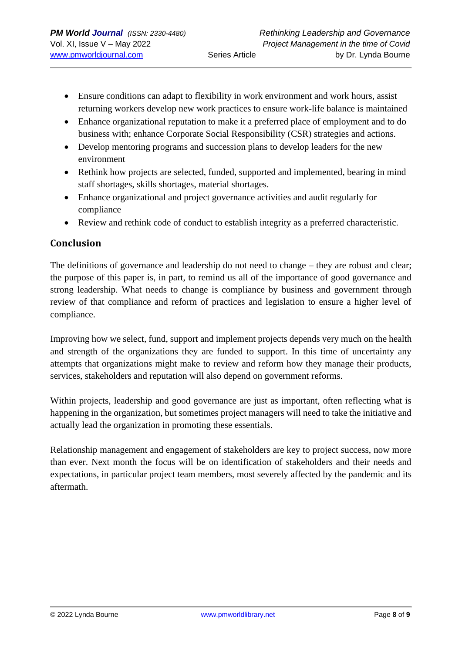- Ensure conditions can adapt to flexibility in work environment and work hours, assist returning workers develop new work practices to ensure work-life balance is maintained
- Enhance organizational reputation to make it a preferred place of employment and to do business with; enhance Corporate Social Responsibility (CSR) strategies and actions.
- Develop mentoring programs and succession plans to develop leaders for the new environment
- Rethink how projects are selected, funded, supported and implemented, bearing in mind staff shortages, skills shortages, material shortages.
- Enhance organizational and project governance activities and audit regularly for compliance
- Review and rethink code of conduct to establish integrity as a preferred characteristic.

## **Conclusion**

The definitions of governance and leadership do not need to change – they are robust and clear; the purpose of this paper is, in part, to remind us all of the importance of good governance and strong leadership. What needs to change is compliance by business and government through review of that compliance and reform of practices and legislation to ensure a higher level of compliance.

Improving how we select, fund, support and implement projects depends very much on the health and strength of the organizations they are funded to support. In this time of uncertainty any attempts that organizations might make to review and reform how they manage their products, services, stakeholders and reputation will also depend on government reforms.

Within projects, leadership and good governance are just as important, often reflecting what is happening in the organization, but sometimes project managers will need to take the initiative and actually lead the organization in promoting these essentials.

Relationship management and engagement of stakeholders are key to project success, now more than ever. Next month the focus will be on identification of stakeholders and their needs and expectations, in particular project team members, most severely affected by the pandemic and its aftermath.